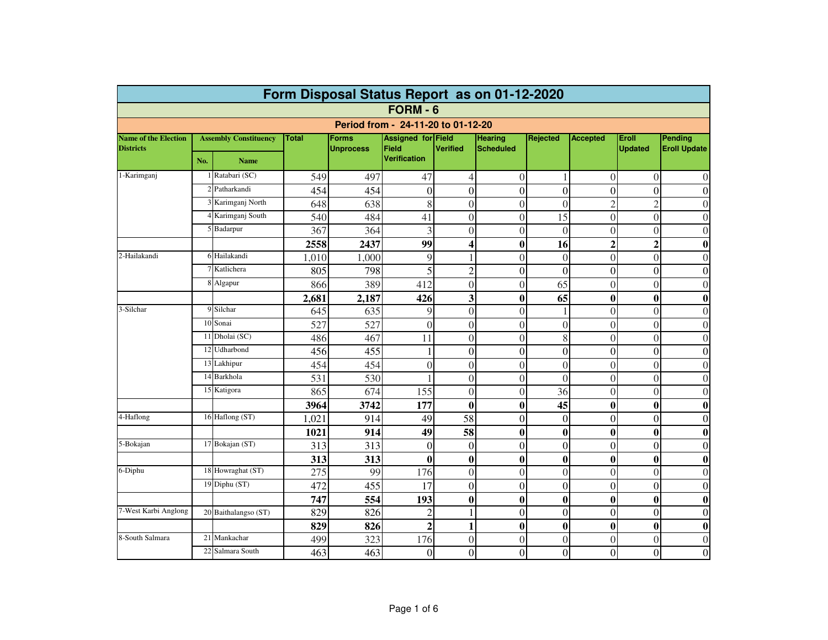| Form Disposal Status Report as on 01-12-2020 |     |                              |              |                  |                                     |                         |                  |                |                 |                  |                     |  |  |
|----------------------------------------------|-----|------------------------------|--------------|------------------|-------------------------------------|-------------------------|------------------|----------------|-----------------|------------------|---------------------|--|--|
| FORM - 6                                     |     |                              |              |                  |                                     |                         |                  |                |                 |                  |                     |  |  |
|                                              |     |                              |              |                  | Period from - 24-11-20 to 01-12-20  |                         |                  |                |                 |                  |                     |  |  |
| <b>Name of the Election</b>                  |     | <b>Assembly Constituency</b> | <b>Total</b> | <b>Forms</b>     | Assigned for Field                  |                         | Hearing          | Rejected       | <b>Accepted</b> | Eroll            | <b>Pending</b>      |  |  |
| <b>Districts</b>                             | No. | <b>Name</b>                  |              | <b>Unprocess</b> | <b>Field</b><br><b>Verification</b> | <b>Verified</b>         | <b>Scheduled</b> |                |                 | <b>Updated</b>   | <b>Eroll Update</b> |  |  |
| 1-Karimganj                                  |     | Ratabari (SC)                | 549          | 497              | 47                                  | $\overline{4}$          | $\overline{0}$   |                | $\theta$        | $\Omega$         | $\theta$            |  |  |
|                                              |     | 2 Patharkandi                | 454          | 454              | $\theta$                            | $\theta$                | $\theta$         | $\theta$       | $\theta$        | $\Omega$         | $\theta$            |  |  |
|                                              |     | 3 Karimganj North            | 648          | 638              | 8                                   | $\overline{0}$          | $\theta$         | $\theta$       | $\overline{2}$  | $\overline{2}$   | $\theta$            |  |  |
|                                              |     | 4 Karimganj South            | 540          | 484              | 41                                  | $\mathbf{0}$            | $\mathbf{0}$     | 15             | $\Omega$        | $\Omega$         | $\theta$            |  |  |
|                                              |     | 5 Badarpur                   | 367          | 364              | 3                                   | $\overline{0}$          | $\overline{0}$   | $\overline{0}$ | $\overline{0}$  | $\overline{0}$   | $\overline{0}$      |  |  |
|                                              |     |                              | 2558         | 2437             | 99                                  | $\overline{\mathbf{4}}$ | $\mathbf{0}$     | 16             | $\mathbf{2}$    | $\overline{2}$   | $\bf{0}$            |  |  |
| 2-Hailakandi                                 |     | 6 Hailakandi                 | 1,010        | 1.000            | 9                                   | 1                       | $\Omega$         | $\theta$       | $\theta$        | $\Omega$         | $\Omega$            |  |  |
|                                              |     | Katlichera                   | 805          | 798              | 5                                   | $\overline{c}$          | $\overline{0}$   | $\overline{0}$ | $\overline{0}$  | $\theta$         | $\theta$            |  |  |
|                                              |     | 8 Algapur                    | 866          | 389              | 412                                 | $\theta$                | $\Omega$         | 65             | $\theta$        | $\Omega$         | $\Omega$            |  |  |
|                                              |     |                              | 2,681        | 2,187            | 426                                 | 3                       | $\boldsymbol{0}$ | 65             | $\bf{0}$        | $\mathbf{0}$     | $\bf{0}$            |  |  |
| 3-Silchar                                    |     | 9 Silchar                    | 645          | 635              | 9                                   | $\theta$                | $\theta$         |                | $\theta$        | $\Omega$         | $\theta$            |  |  |
|                                              |     | 10 Sonai                     | 527          | 527              | $\theta$                            | $\overline{0}$          | $\theta$         | $\overline{0}$ | $\theta$        | $\theta$         | $\overline{0}$      |  |  |
|                                              |     | 11 Dholai (SC)               | 486          | 467              | 11                                  | $\overline{0}$          | $\boldsymbol{0}$ | 8              | $\Omega$        | $\Omega$         | $\theta$            |  |  |
|                                              |     | 12 Udharbond                 | 456          | 455              |                                     | $\overline{0}$          | $\overline{0}$   | $\overline{0}$ | $\overline{0}$  | $\theta$         | $\overline{0}$      |  |  |
|                                              |     | 13 Lakhipur                  | 454          | 454              | $\theta$                            | $\overline{0}$          | $\theta$         | $\theta$       | $\Omega$        | $\Omega$         | $\Omega$            |  |  |
|                                              |     | 14 Barkhola                  | 531          | 530              |                                     | $\overline{0}$          | $\theta$         | $\theta$       | $\theta$        | $\theta$         | $\theta$            |  |  |
|                                              |     | 15 Katigora                  | 865          | 674              | 155                                 | $\overline{0}$          | $\overline{0}$   | 36             | $\overline{0}$  | $\theta$         | $\theta$            |  |  |
|                                              |     |                              | 3964         | 3742             | 177                                 | $\bf{0}$                | $\mathbf{0}$     | 45             | $\bf{0}$        | $\mathbf{0}$     | $\bf{0}$            |  |  |
| 4-Haflong                                    |     | 16 Haflong (ST)              | 1,021        | 914              | 49                                  | 58                      | $\overline{0}$   | $\mathbf{0}$   | $\overline{0}$  | $\Omega$         | $\overline{0}$      |  |  |
|                                              |     |                              | 1021         | 914              | 49                                  | 58                      | $\boldsymbol{0}$ | $\bf{0}$       | $\bf{0}$        | $\mathbf{0}$     | $\bf{0}$            |  |  |
| 5-Bokajan                                    |     | 17 Bokajan (ST)              | 313          | 313              | $\theta$                            | $\mathbf{0}$            | $\overline{0}$   | $\overline{0}$ | $\overline{0}$  | $\Omega$         | $\boldsymbol{0}$    |  |  |
|                                              |     |                              | 313          | 313              | $\bf{0}$                            | $\bf{0}$                | $\boldsymbol{0}$ | $\bf{0}$       | $\bf{0}$        | $\boldsymbol{0}$ | $\bf{0}$            |  |  |
| 6-Diphu                                      |     | 18 Howraghat (ST)            | 275          | 99               | 176                                 | $\overline{0}$          | $\theta$         | $\overline{0}$ | $\Omega$        | $\Omega$         | $\overline{0}$      |  |  |
|                                              |     | 19 Diphu (ST)                | 472          | 455              | 17                                  | $\theta$                | $\theta$         | $\theta$       | $\theta$        | $\theta$         | $\theta$            |  |  |
|                                              |     |                              | 747          | 554              | 193                                 | $\bf{0}$                | $\bf{0}$         | $\bf{0}$       | $\bf{0}$        | $\boldsymbol{0}$ | $\bf{0}$            |  |  |
| 7-West Karbi Anglong                         |     | 20 Baithalangso (ST)         | 829          | 826              | 2                                   | 1                       | $\overline{0}$   | $\theta$       | $\theta$        | $\theta$         | $\theta$            |  |  |
|                                              |     |                              | 829          | 826              | $\overline{2}$                      | $\mathbf{1}$            | $\boldsymbol{0}$ | $\bf{0}$       | $\bf{0}$        | $\boldsymbol{0}$ | $\bf{0}$            |  |  |
| 8-South Salmara                              | 21  | Mankachar                    | 499          | 323              | 176                                 | $\overline{0}$          | $\overline{0}$   | $\theta$       | $\overline{0}$  | $\theta$         | $\overline{0}$      |  |  |
|                                              | 22  | Salmara South                | 463          | 463              | $\theta$                            | $\theta$                | $\theta$         | $\theta$       | $\theta$        | $\Omega$         | $\theta$            |  |  |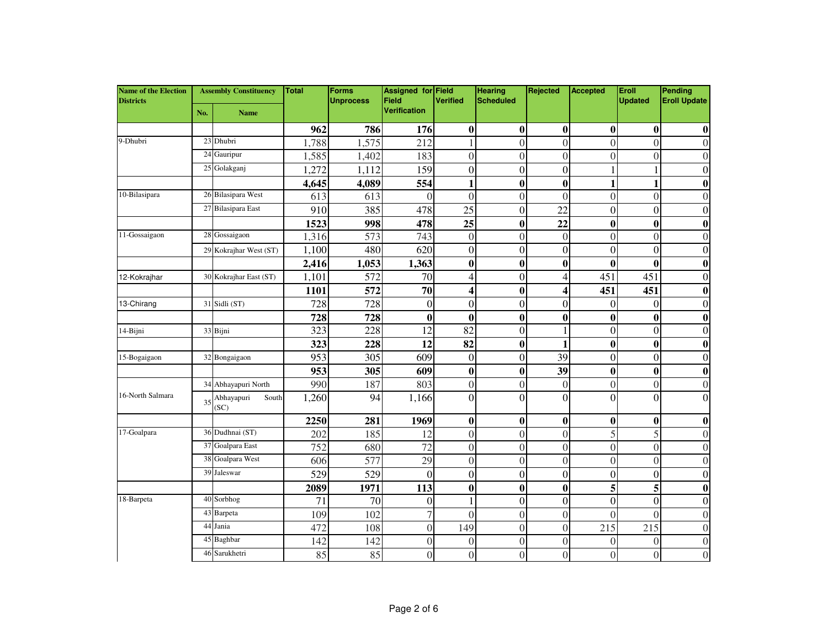| <b>Name of the Election</b><br><b>Districts</b> | <b>Assembly Constituency</b> |                             | <b>Total</b> | <b>Forms</b><br><b>Unprocess</b> | Assigned for Field<br><b>Field</b> | <b>Verified</b>          | <b>Hearing</b><br><b>Scheduled</b> | Rejected         | Accepted         | Eroll<br><b>Updated</b> | Pending<br><b>Eroll Update</b> |
|-------------------------------------------------|------------------------------|-----------------------------|--------------|----------------------------------|------------------------------------|--------------------------|------------------------------------|------------------|------------------|-------------------------|--------------------------------|
|                                                 | No.                          | <b>Name</b>                 |              |                                  | Verification                       |                          |                                    |                  |                  |                         |                                |
|                                                 |                              |                             | 962          | 786                              | 176                                | $\bf{0}$                 | $\bf{0}$                           | $\bf{0}$         | $\bf{0}$         | $\boldsymbol{0}$        | $\bf{0}$                       |
| 9-Dhubri                                        | 23                           | Dhubri                      | 1,788        | 1,575                            | 212                                |                          | $\theta$                           | $\Omega$         | $\Omega$         | $\Omega$                | $\Omega$                       |
|                                                 | 24                           | Gauripur                    | 1,585        | 1,402                            | 183                                | $\mathbf{0}$             | $\theta$                           | $\mathbf{0}$     | $\theta$         | $\Omega$                | 0                              |
|                                                 |                              | 25 Golakganj                | 1,272        | 1,112                            | 159                                | $\boldsymbol{0}$         | $\theta$                           | $\boldsymbol{0}$ |                  |                         | $\theta$                       |
|                                                 |                              |                             | 4,645        | 4,089                            | 554                                | 1                        | $\bf{0}$                           | $\bf{0}$         | 1                | 1                       | 0                              |
| 10-Bilasipara                                   |                              | 26 Bilasipara West          | 613          | 613                              | $\theta$                           | $\overline{0}$           | $\Omega$                           | $\overline{0}$   | $\overline{0}$   | $\theta$                | 0                              |
|                                                 |                              | 27 Bilasipara East          | 910          | 385                              | 478                                | 25                       | $\theta$                           | 22               | $\Omega$         | $\Omega$                | $\theta$                       |
|                                                 |                              |                             | 1523         | 998                              | 478                                | 25                       | $\bf{0}$                           | 22               | $\bf{0}$         | $\boldsymbol{0}$        | $\bf{0}$                       |
| 11-Gossaigaon                                   |                              | 28 Gossaigaon               | 1,316        | 573                              | 743                                | $\boldsymbol{0}$         | $\mathbf{0}$                       | $\boldsymbol{0}$ | $\boldsymbol{0}$ | $\theta$                | $\overline{0}$                 |
|                                                 | 29                           | Kokrajhar West (ST)         | 1,100        | 480                              | 620                                | $\boldsymbol{0}$         | $\theta$                           | $\Omega$         | $\Omega$         | $\Omega$                | $\theta$                       |
|                                                 |                              |                             | 2,416        | 1,053                            | 1,363                              | $\boldsymbol{0}$         | $\bf{0}$                           | $\bf{0}$         | $\bf{0}$         | $\mathbf{0}$            | $\bf{0}$                       |
| 12-Kokrajhar                                    |                              | 30 Kokrajhar East (ST)      | 1,101        | 572                              | 70                                 | $\overline{\mathcal{L}}$ | $\boldsymbol{0}$                   | 4                | 451              | 451                     | $\boldsymbol{0}$               |
|                                                 |                              |                             | <b>1101</b>  | 572                              | 70                                 | 4                        | $\bf{0}$                           | 4                | 451              | 451                     | $\bf{0}$                       |
| 13-Chirang                                      | 31                           | Sidli (ST)                  | 728          | 728                              | $\boldsymbol{0}$                   | $\overline{0}$           | $\boldsymbol{0}$                   | $\boldsymbol{0}$ | $\overline{0}$   | $\Omega$                | $\boldsymbol{0}$               |
|                                                 |                              |                             | 728          | 728                              | $\bf{0}$                           | $\boldsymbol{0}$         | $\bf{0}$                           | $\bf{0}$         | $\bf{0}$         | $\mathbf{0}$            | 0                              |
| 14-Bijni                                        |                              | 33 Bijni                    | 323          | 228                              | 12                                 | 82                       | $\theta$                           |                  | $\mathbf{0}$     | $\Omega$                | $\theta$                       |
|                                                 |                              |                             | 323          | 228                              | 12                                 | 82                       | $\bf{0}$                           | 1                | $\bf{0}$         | $\boldsymbol{0}$        | $\bf{0}$                       |
| 15-Bogaigaon                                    |                              | 32 Bongaigaon               | 953          | 305                              | 609                                | $\mathbf{0}$             | $\theta$                           | 39               | $\mathbf{0}$     | $\Omega$                | $\theta$                       |
|                                                 |                              |                             | 953          | 305                              | 609                                | $\boldsymbol{0}$         | $\bf{0}$                           | 39               | $\bf{0}$         | $\boldsymbol{0}$        | $\bf{0}$                       |
|                                                 | 34                           | Abhayapuri North            | 990          | 187                              | 803                                | $\theta$                 | $\theta$                           | $\overline{0}$   | $\Omega$         | $\Omega$                | $\Omega$                       |
| 16-North Salmara                                | 35                           | Abhayapuri<br>South<br>(SC) | 1,260        | 94                               | 1,166                              | $\overline{0}$           | $\Omega$                           | $\Omega$         | $\Omega$         | $\Omega$                | $\Omega$                       |
|                                                 |                              |                             | 2250         | 281                              | 1969                               | $\bf{0}$                 | $\bf{0}$                           | $\bf{0}$         | $\bf{0}$         | $\mathbf{0}$            | 0                              |
| 17-Goalpara                                     | 36                           | Dudhnai (ST)                | 202          | 185                              | 12                                 | $\overline{0}$           | $\overline{0}$                     | $\overline{0}$   | 5                | 5                       | $\theta$                       |
|                                                 | 37                           | Goalpara East               | 752          | 680                              | 72                                 | $\overline{0}$           | $\theta$                           | $\mathbf{0}$     | $\mathbf{0}$     | $\theta$                | $\theta$                       |
|                                                 |                              | 38 Goalpara West            | 606          | 577                              | 29                                 | $\mathbf{0}$             | $\theta$                           | $\mathbf{0}$     | $\theta$         | $\theta$                | $\theta$                       |
|                                                 | 39                           | Jaleswar                    | 529          | 529                              | $\mathbf{0}$                       | $\boldsymbol{0}$         | $\boldsymbol{0}$                   | $\mathbf{0}$     | $\mathbf{0}$     | $\theta$                | $\boldsymbol{0}$               |
|                                                 |                              |                             | 2089         | 1971                             | 113                                | $\bf{0}$                 | $\bf{0}$                           | $\bf{0}$         | 5                | 5                       | $\bf{0}$                       |
| 18-Barpeta                                      | 40                           | Sorbhog                     | 71           | 70                               | $\boldsymbol{0}$                   | 1                        | $\overline{0}$                     | $\mathbf{0}$     | $\overline{0}$   | $\Omega$                | $\theta$                       |
|                                                 | 43                           | Barpeta                     | 109          | 102                              | 7                                  | $\theta$                 | $\theta$                           | $\theta$         | $\theta$         | $\Omega$                | $\theta$                       |
|                                                 | 44                           | Jania                       | 472          | 108                              | $\overline{0}$                     | 149                      | $\theta$                           | $\mathbf{0}$     | 215              | 215                     | $\Omega$                       |
|                                                 | 45                           | Baghbar                     | 142          | 142                              | $\boldsymbol{0}$                   | $\boldsymbol{0}$         | $\theta$                           | $\mathbf{0}$     | $\boldsymbol{0}$ | $\Omega$                | $\overline{0}$                 |
|                                                 | 46                           | Sarukhetri                  | 85           | 85                               | $\theta$                           | $\theta$                 | $\Omega$                           | $\Omega$         | $\theta$         | $\Omega$                | $\theta$                       |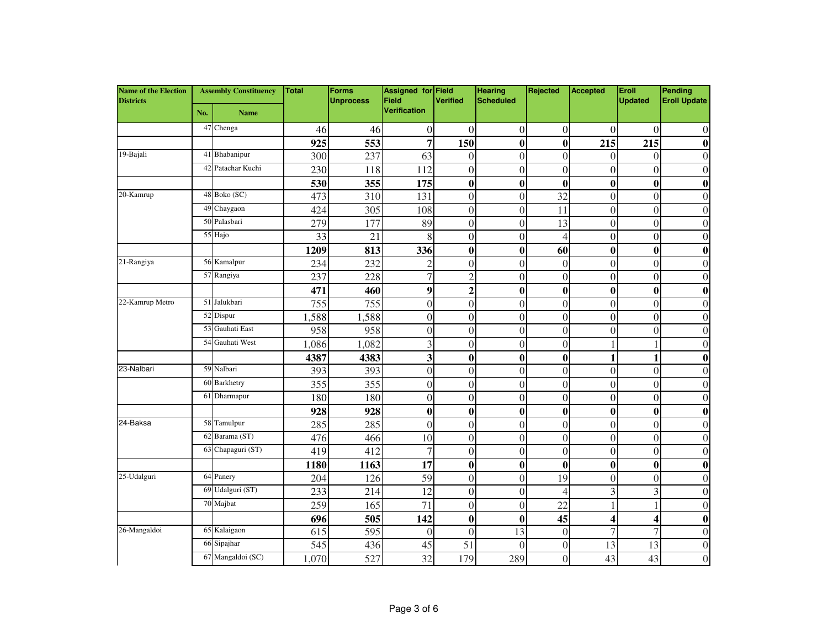| <b>Name of the Election</b><br><b>Districts</b> | <b>Assembly Constituency</b> |                   | Total | <b>Forms</b><br><b>Unprocess</b> | <b>Assigned for Field</b><br>Field | <b>Verified</b>  | <b>Hearing</b><br><b>Scheduled</b> | Rejected       | Accepted         | Eroll<br><b>Updated</b> | Pending<br><b>Eroll Update</b> |
|-------------------------------------------------|------------------------------|-------------------|-------|----------------------------------|------------------------------------|------------------|------------------------------------|----------------|------------------|-------------------------|--------------------------------|
|                                                 | No.                          | <b>Name</b>       |       |                                  | <b>Verification</b>                |                  |                                    |                |                  |                         |                                |
|                                                 |                              | 47 Chenga         | 46    | 46                               | $\boldsymbol{0}$                   | $\overline{0}$   | $\overline{0}$                     | $\overline{0}$ | $\Omega$         | $\Omega$                | $\theta$                       |
|                                                 |                              |                   | 925   | 553                              | 7                                  | 150              | $\bf{0}$                           | $\bf{0}$       | 215              | 215                     | $\bf{0}$                       |
| 19-Bajali                                       |                              | 41 Bhabanipur     | 300   | 237                              | 63                                 | $\mathbf{0}$     | $\overline{0}$                     | $\overline{0}$ | $\Omega$         | $\theta$                | $\theta$                       |
|                                                 | 42                           | Patachar Kuchi    | 230   | 118                              | 112                                | $\mathbf{0}$     | $\overline{0}$                     | $\mathbf{0}$   | $\overline{0}$   | $\theta$                | $\theta$                       |
|                                                 |                              |                   | 530   | 355                              | 175                                | $\boldsymbol{0}$ | $\bf{0}$                           | $\bf{0}$       | $\bf{0}$         | $\boldsymbol{0}$        | $\bf{0}$                       |
| 20-Kamrup                                       |                              | 48 Boko (SC)      | 473   | 310                              | 131                                | $\overline{0}$   | $\overline{0}$                     | 32             | $\mathbf{0}$     | $\theta$                | $\overline{0}$                 |
|                                                 |                              | 49 Chaygaon       | 424   | 305                              | 108                                | $\boldsymbol{0}$ | $\theta$                           | 11             | $\mathbf{0}$     | $\theta$                | $\Omega$                       |
|                                                 |                              | 50 Palasbari      | 279   | 177                              | 89                                 | $\overline{0}$   | $\theta$                           | 13             | $\mathbf{0}$     | $\theta$                | $\theta$                       |
|                                                 |                              | 55 Hajo           | 33    | 21                               | 8                                  | $\boldsymbol{0}$ | $\theta$                           | $\overline{4}$ | $\theta$         | $\theta$                | $\theta$                       |
|                                                 |                              |                   | 1209  | 813                              | 336                                | $\boldsymbol{0}$ | $\bf{0}$                           | 60             | $\bf{0}$         | $\boldsymbol{0}$        | $\bf{0}$                       |
| 21-Rangiya                                      |                              | 56 Kamalpur       | 234   | 232                              | $\overline{2}$                     | $\overline{0}$   | $\theta$                           | $\mathbf{0}$   | $\theta$         | $\theta$                | $\Omega$                       |
|                                                 |                              | 57 Rangiya        | 237   | 228                              | $\overline{7}$                     | $\overline{2}$   | $\mathbf{0}$                       | $\mathbf{0}$   | $\boldsymbol{0}$ | $\theta$                | $\theta$                       |
|                                                 |                              |                   | 471   | 460                              | 9                                  | $\overline{2}$   | $\bf{0}$                           | $\bf{0}$       | $\bf{0}$         | $\boldsymbol{0}$        | 0                              |
| 22-Kamrup Metro                                 |                              | 51 Jalukbari      | 755   | 755                              | $\mathbf{0}$                       | $\overline{0}$   | $\theta$                           | $\overline{0}$ | $\Omega$         | $\Omega$                | $\Omega$                       |
|                                                 |                              | 52 Dispur         | 1,588 | 1,588                            | $\boldsymbol{0}$                   | $\mathbf{0}$     | $\overline{0}$                     | $\mathbf{0}$   | $\Omega$         | $\theta$                | $\theta$                       |
|                                                 |                              | 53 Gauhati East   | 958   | 958                              | $\boldsymbol{0}$                   | $\mathbf{0}$     | $\theta$                           | $\Omega$       | $\Omega$         | $\Omega$                | $\Omega$                       |
|                                                 | 54                           | Gauhati West      | 1,086 | 1,082                            | 3                                  | $\overline{0}$   | $\overline{0}$                     | $\overline{0}$ | 1                |                         | $\Omega$                       |
|                                                 |                              |                   | 4387  | 4383                             | 3                                  | $\boldsymbol{0}$ | $\bf{0}$                           | $\bf{0}$       | 1                | 1                       | 0                              |
| 23-Nalbari                                      |                              | 59 Nalbari        | 393   | 393                              | $\boldsymbol{0}$                   | $\overline{0}$   | $\theta$                           | $\mathbf{0}$   | $\mathbf{0}$     | $\theta$                | $\Omega$                       |
|                                                 |                              | 60 Barkhetry      | 355   | 355                              | $\boldsymbol{0}$                   | $\overline{0}$   | $\overline{0}$                     | $\overline{0}$ | $\overline{0}$   | $\theta$                | $\theta$                       |
|                                                 |                              | 61 Dharmapur      | 180   | 180                              | $\boldsymbol{0}$                   | $\overline{0}$   | $\mathbf{0}$                       | $\mathbf{0}$   | $\overline{0}$   | $\theta$                | $\overline{0}$                 |
|                                                 |                              |                   | 928   | 928                              | $\bf{0}$                           | $\boldsymbol{0}$ | $\bf{0}$                           | $\bf{0}$       | $\bf{0}$         | $\boldsymbol{0}$        | $\bf{0}$                       |
| 24-Baksa                                        |                              | 58 Tamulpur       | 285   | 285                              | $\overline{0}$                     | $\overline{0}$   | $\overline{0}$                     | $\mathbf{0}$   | $\mathbf{0}$     | $\theta$                | $\theta$                       |
|                                                 | 62                           | Barama (ST)       | 476   | 466                              | 10                                 | $\overline{0}$   | $\overline{0}$                     | $\overline{0}$ | $\mathbf{0}$     | $\theta$                | $\theta$                       |
|                                                 |                              | 63 Chapaguri (ST) | 419   | 412                              | 7                                  | $\boldsymbol{0}$ | $\boldsymbol{0}$                   | $\mathbf{0}$   | $\mathbf{0}$     | $\mathbf{0}$            | $\boldsymbol{0}$               |
|                                                 |                              |                   | 1180  | 1163                             | 17                                 | $\boldsymbol{0}$ | $\bf{0}$                           | $\bf{0}$       | $\bf{0}$         | $\bf{0}$                | $\bf{0}$                       |
| 25-Udalguri                                     |                              | 64 Panery         | 204   | 126                              | 59                                 | $\overline{0}$   | $\theta$                           | 19             | $\Omega$         | $\Omega$                | $\Omega$                       |
|                                                 |                              | 69 Udalguri (ST)  | 233   | 214                              | 12                                 | $\mathbf{0}$     | $\boldsymbol{0}$                   | $\overline{4}$ | 3                | 3                       | $\theta$                       |
|                                                 |                              | 70 Majbat         | 259   | 165                              | 71                                 | $\overline{0}$   | $\theta$                           | 22             | 1                |                         | $\theta$                       |
|                                                 |                              |                   | 696   | 505                              | 142                                | $\bf{0}$         | $\bf{0}$                           | 45             | 4                | $\Delta$                | $\bf{0}$                       |
| 26-Mangaldoi                                    | 65                           | Kalaigaon         | 615   | 595                              | $\overline{0}$                     | $\mathbf{0}$     | 13                                 | $\theta$       | 7                |                         | $\Omega$                       |
|                                                 | 66                           | Sipajhar          | 545   | 436                              | 45                                 | 51               | $\Omega$                           | $\mathbf{0}$   | 13               | 13                      | $\Omega$                       |
|                                                 |                              | 67 Mangaldoi (SC) | 1,070 | 527                              | 32                                 | 179              | 289                                | $\overline{0}$ | 43               | 43                      | $\boldsymbol{0}$               |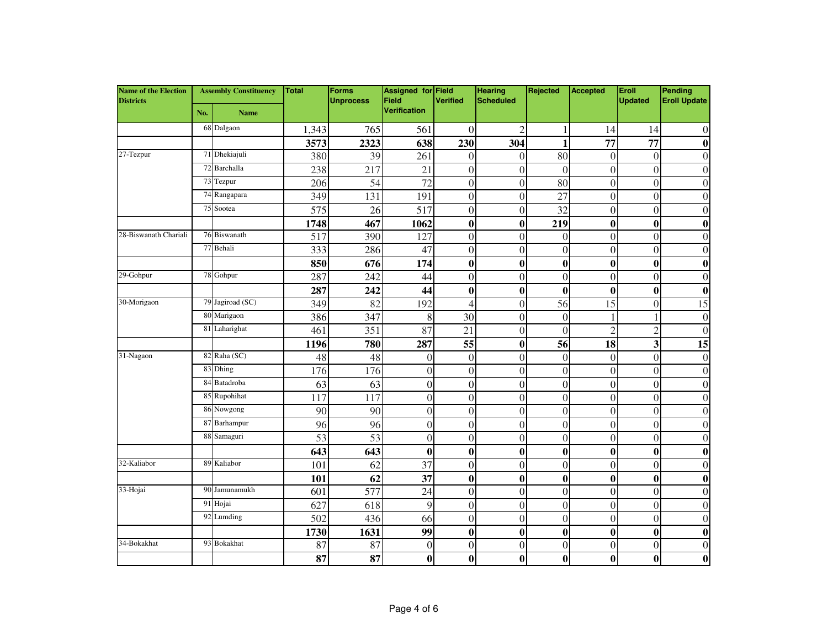| <b>Name of the Election</b><br><b>Districts</b> | <b>Assembly Constituency</b> |                  | <b>Total</b> | Forms<br><b>Unprocess</b> | <b>Assigned for Field</b><br>Field | <b>Verified</b>  | <b>Hearing</b><br><b>Scheduled</b> | Rejected         | Accepted         | Eroll<br><b>Updated</b> | Pending<br><b>Eroll Update</b> |
|-------------------------------------------------|------------------------------|------------------|--------------|---------------------------|------------------------------------|------------------|------------------------------------|------------------|------------------|-------------------------|--------------------------------|
|                                                 | No.                          | <b>Name</b>      |              |                           | <b>Verification</b>                |                  |                                    |                  |                  |                         |                                |
|                                                 |                              | 68 Dalgaon       | 1,343        | 765                       | 561                                | $\overline{0}$   | $\overline{2}$                     | 1                | 14               | 14                      | $\boldsymbol{0}$               |
|                                                 |                              |                  | 3573         | 2323                      | 638                                | 230              | 304                                | 1                | 77               | 77                      | $\bf{0}$                       |
| 27-Tezpur                                       |                              | 71 Dhekiajuli    | 380          | 39                        | 261                                | $\overline{0}$   | $\overline{0}$                     | 80               | $\overline{0}$   | $\mathbf{0}$            | $\overline{0}$                 |
|                                                 |                              | 72 Barchalla     | 238          | 217                       | 21                                 | $\overline{0}$   | $\theta$                           | $\Omega$         | $\Omega$         | $\theta$                | $\Omega$                       |
|                                                 |                              | 73 Tezpur        | 206          | $\overline{54}$           | $\overline{72}$                    | $\overline{0}$   | $\theta$                           | 80               | $\mathbf{0}$     | $\theta$                | $\theta$                       |
|                                                 |                              | 74 Rangapara     | 349          | 131                       | 191                                | $\overline{0}$   | $\theta$                           | 27               | $\overline{0}$   | $\theta$                | $\theta$                       |
|                                                 |                              | 75 Sootea        | 575          | 26                        | 517                                | $\overline{0}$   | $\theta$                           | 32               | $\boldsymbol{0}$ | $\theta$                | $\theta$                       |
|                                                 |                              |                  | 1748         | 467                       | 1062                               | $\boldsymbol{0}$ | $\bf{0}$                           | 219              | $\bf{0}$         | $\mathbf{0}$            | $\bf{0}$                       |
| 28-Biswanath Chariali                           |                              | 76 Biswanath     | 517          | 390                       | 127                                | $\overline{0}$   | $\theta$                           | $\overline{0}$   | $\mathbf{0}$     | $\theta$                | $\theta$                       |
|                                                 |                              | 77 Behali        | 333          | 286                       | 47                                 | $\boldsymbol{0}$ | $\overline{0}$                     | $\mathbf{0}$     | $\mathbf{0}$     | $\theta$                | $\overline{0}$                 |
|                                                 |                              |                  | 850          | 676                       | 174                                | $\boldsymbol{0}$ | $\bf{0}$                           | $\bf{0}$         | $\bf{0}$         | $\bf{0}$                | $\bf{0}$                       |
| 29-Gohpur                                       |                              | 78 Gohpur        | 287          | 242                       | 44                                 | $\boldsymbol{0}$ | $\boldsymbol{0}$                   | $\mathbf{0}$     | $\mathbf{0}$     | $\mathbf{0}$            | $\boldsymbol{0}$               |
|                                                 |                              |                  | 287          | 242                       | 44                                 | $\bf{0}$         | $\bf{0}$                           | $\bf{0}$         | $\bf{0}$         | $\mathbf{0}$            | $\bf{0}$                       |
| 30-Morigaon                                     |                              | 79 Jagiroad (SC) | 349          | 82                        | 192                                | $\overline{4}$   | $\theta$                           | 56               | 15               | $\theta$                | 15                             |
|                                                 |                              | 80 Marigaon      | 386          | 347                       | 8                                  | 30               | $\boldsymbol{0}$                   | $\mathbf{0}$     | 1                |                         | $\mathbf{0}$                   |
|                                                 |                              | 81 Laharighat    | 461          | 351                       | 87                                 | 21               | $\theta$                           | $\theta$         | $\overline{2}$   | $\mathfrak{D}$          | $\theta$                       |
|                                                 |                              |                  | 1196         | 780                       | 287                                | 55               | $\bf{0}$                           | 56               | 18               | 3                       | 15                             |
| 31-Nagaon                                       | 82                           | Raha (SC)        | 48           | 48                        | $\overline{0}$                     | $\boldsymbol{0}$ | $\theta$                           | $\mathbf{0}$     | $\mathbf{0}$     | $\theta$                | $\mathbf{0}$                   |
|                                                 | 83                           | Dhing            | 176          | 176                       | $\boldsymbol{0}$                   | $\overline{0}$   | $\overline{0}$                     | $\overline{0}$   | $\overline{0}$   | $\theta$                | $\overline{0}$                 |
|                                                 | 84                           | Batadroba        | 63           | 63                        | $\boldsymbol{0}$                   | $\boldsymbol{0}$ | $\boldsymbol{0}$                   | $\boldsymbol{0}$ | $\boldsymbol{0}$ | $\theta$                | $\boldsymbol{0}$               |
|                                                 |                              | 85 Rupohihat     | 117          | 117                       | $\boldsymbol{0}$                   | $\boldsymbol{0}$ | $\mathbf{0}$                       | $\boldsymbol{0}$ | $\boldsymbol{0}$ | $\theta$                | $\overline{0}$                 |
|                                                 |                              | 86 Nowgong       | 90           | 90                        | $\overline{0}$                     | $\overline{0}$   | $\overline{0}$                     | $\overline{0}$   | $\overline{0}$   | $\Omega$                | $\overline{0}$                 |
|                                                 | 87                           | Barhampur        | 96           | 96                        | $\boldsymbol{0}$                   | $\overline{0}$   | $\boldsymbol{0}$                   | $\overline{0}$   | $\mathbf{0}$     | $\theta$                | $\theta$                       |
|                                                 |                              | 88 Samaguri      | 53           | 53                        | $\theta$                           | $\mathbf{0}$     | $\theta$                           | $\Omega$         | $\Omega$         | $\theta$                | $\theta$                       |
|                                                 |                              |                  | 643          | 643                       | $\bf{0}$                           | $\bf{0}$         | $\bf{0}$                           | $\bf{0}$         | $\bf{0}$         | $\boldsymbol{0}$        | $\bf{0}$                       |
| 32-Kaliabor                                     |                              | 89 Kaliabor      | 101          | 62                        | 37                                 | $\overline{0}$   | $\overline{0}$                     | $\mathbf{0}$     | $\mathbf{0}$     | $\theta$                | $\overline{0}$                 |
|                                                 |                              |                  | 101          | 62                        | 37                                 | $\boldsymbol{0}$ | $\bf{0}$                           | $\bf{0}$         | $\bf{0}$         | $\boldsymbol{0}$        | $\bf{0}$                       |
| 33-Hojai                                        | 90                           | Jamunamukh       | 601          | 577                       | 24                                 | $\overline{0}$   | $\overline{0}$                     | $\mathbf{0}$     | $\mathbf{0}$     | $\theta$                | $\overline{0}$                 |
|                                                 |                              | 91 Hojai         | 627          | 618                       | 9                                  | $\overline{0}$   | $\mathbf{0}$                       | $\overline{0}$   | $\boldsymbol{0}$ | $\theta$                | $\overline{0}$                 |
|                                                 |                              | 92 Lumding       | 502          | 436                       | 66                                 | $\overline{0}$   | $\theta$                           | $\boldsymbol{0}$ | $\boldsymbol{0}$ | $\theta$                | $\overline{0}$                 |
|                                                 |                              |                  | 1730         | 1631                      | 99                                 | $\bf{0}$         | $\bf{0}$                           | $\bf{0}$         | $\bf{0}$         | $\boldsymbol{0}$        | $\bf{0}$                       |
| 34-Bokakhat                                     |                              | 93 Bokakhat      | 87           | 87                        | $\boldsymbol{0}$                   | $\overline{0}$   | $\overline{0}$                     | $\mathbf{0}$     | $\mathbf{0}$     | $\theta$                | $\boldsymbol{0}$               |
|                                                 |                              |                  | 87           | 87                        | $\bf{0}$                           | $\bf{0}$         | $\bf{0}$                           | $\bf{0}$         | $\bf{0}$         | $\bf{0}$                | $\bf{0}$                       |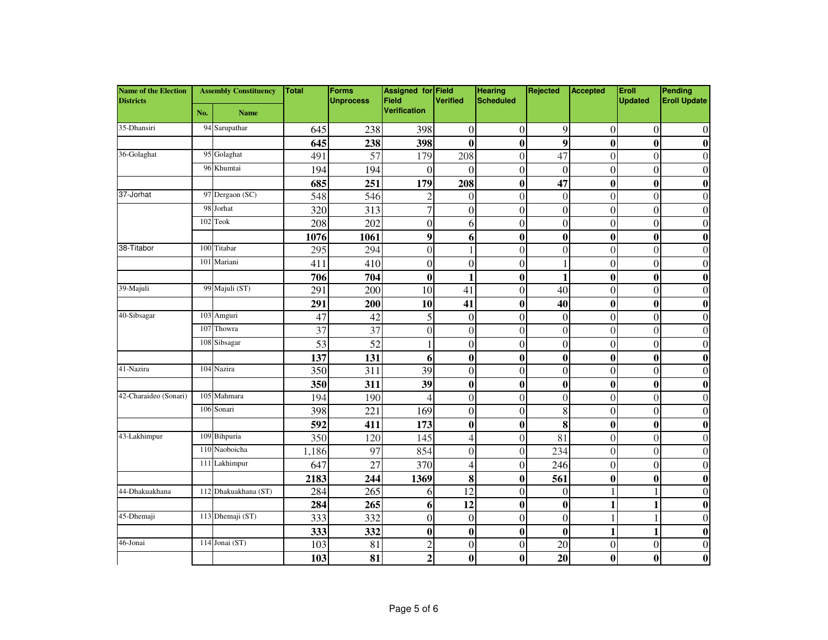| <b>Name of the Election</b><br><b>Districts</b> | <b>Assembly Constituency</b> |                      | Total | Forms<br><b>Unprocess</b> | <b>Assigned for Field</b><br><b>Field</b> | <b>Verified</b>  | <b>Hearing</b><br><b>Scheduled</b> | Rejected         | Accepted         | Eroll<br><b>Updated</b> | Pending<br><b>Eroll Update</b> |
|-------------------------------------------------|------------------------------|----------------------|-------|---------------------------|-------------------------------------------|------------------|------------------------------------|------------------|------------------|-------------------------|--------------------------------|
|                                                 | No.                          | <b>Name</b>          |       |                           | <b>Verification</b>                       |                  |                                    |                  |                  |                         |                                |
| 35-Dhansiri                                     |                              | 94 Sarupathar        | 645   | 238                       | 398                                       | $\boldsymbol{0}$ | $\overline{0}$                     | 9                | $\overline{0}$   | $\Omega$                | $\theta$                       |
|                                                 |                              |                      | 645   | 238                       | 398                                       | $\boldsymbol{0}$ | $\bf{0}$                           | 9                | $\bf{0}$         | $\mathbf{0}$            | $\bf{0}$                       |
| 36-Golaghat                                     |                              | 95 Golaghat          | 491   | 57                        | 179                                       | 208              | $\theta$                           | 47               | $\Omega$         | $\Omega$                | $\Omega$                       |
|                                                 |                              | 96 Khumtai           | 194   | 194                       | $\theta$                                  | $\theta$         | $\theta$                           | $\Omega$         | $\Omega$         | $\theta$                | $\Omega$                       |
|                                                 |                              |                      | 685   | 251                       | 179                                       | 208              | $\bf{0}$                           | 47               | 0                | $\boldsymbol{0}$        | 0                              |
| 37-Jorhat                                       |                              | 97 Dergaon (SC)      | 548   | 546                       | $\overline{c}$                            | $\overline{0}$   | $\Omega$                           | $\theta$         | $\overline{0}$   | $\theta$                | 0                              |
|                                                 | 98                           | Jorhat               | 320   | 313                       | $\overline{7}$                            | $\overline{0}$   | $\overline{0}$                     | $\mathbf{0}$     | $\mathbf{0}$     | $\theta$                | $\theta$                       |
|                                                 |                              | 102 Teok             | 208   | 202                       | $\boldsymbol{0}$                          | 6                | $\overline{0}$                     | $\mathbf{0}$     | $\boldsymbol{0}$ | $\theta$                | $\theta$                       |
|                                                 |                              |                      | 1076  | 1061                      | 9                                         | 6                | $\bf{0}$                           | $\bf{0}$         | $\bf{0}$         | $\boldsymbol{0}$        | $\boldsymbol{0}$               |
| 38-Titabor                                      |                              | 100 Titabar          | 295   | 294                       | $\Omega$                                  | 1                | $\theta$                           | $\theta$         | $\theta$         | $\Omega$                | $\Omega$                       |
|                                                 | 101                          | Mariani              | 411   | 410                       | $\mathbf{0}$                              | $\boldsymbol{0}$ | $\boldsymbol{0}$                   | 1                | $\theta$         | $\theta$                | $\theta$                       |
|                                                 |                              |                      | 706   | 704                       | $\bf{0}$                                  | 1                | $\bf{0}$                           | 1                | $\bf{0}$         | $\boldsymbol{0}$        | 0                              |
| 39-Majuli                                       |                              | 99 Majuli (ST)       | 291   | 200                       | $\overline{10}$                           | 41               | $\overline{0}$                     | $\overline{40}$  | $\overline{0}$   | $\theta$                | $\theta$                       |
|                                                 |                              |                      | 291   | 200                       | 10                                        | 41               | $\bf{0}$                           | 40               | $\bf{0}$         | $\boldsymbol{0}$        | $\bf{0}$                       |
| 40-Sibsagar                                     |                              | 103 Amguri           | 47    | 42                        | 5                                         | $\mathbf{0}$     | $\theta$                           | $\theta$         | $\mathbf{0}$     | $\theta$                | $\theta$                       |
|                                                 |                              | 107 Thowra           | 37    | 37                        | $\boldsymbol{0}$                          | $\boldsymbol{0}$ | $\theta$                           | $\overline{0}$   | $\overline{0}$   | $\theta$                | $\theta$                       |
|                                                 |                              | 108 Sibsagar         | 53    | 52                        |                                           | $\mathbf{0}$     | $\overline{0}$                     | $\mathbf{0}$     | $\overline{0}$   | $\theta$                | $\theta$                       |
|                                                 |                              |                      | 137   | 131                       | 6                                         | $\boldsymbol{0}$ | $\bf{0}$                           | $\bf{0}$         | $\bf{0}$         | $\mathbf{0}$            | 0                              |
| 41-Nazira                                       |                              | 104 Nazira           | 350   | 311                       | 39                                        | $\overline{0}$   | $\mathbf{0}$                       | $\mathbf{0}$     | $\mathbf{0}$     | $\theta$                | $\Omega$                       |
|                                                 |                              |                      | 350   | 311                       | 39                                        | $\bf{0}$         | $\bf{0}$                           | $\bf{0}$         | $\bf{0}$         | $\mathbf{0}$            | $\bf{0}$                       |
| 42-Charaideo (Sonari)                           |                              | 105 Mahmara          | 194   | 190                       | 4                                         | $\overline{0}$   | $\theta$                           | $\mathbf{0}$     | $\mathbf{0}$     | $\theta$                | $\theta$                       |
|                                                 |                              | 106 Sonari           | 398   | 221                       | 169                                       | $\boldsymbol{0}$ | $\overline{0}$                     | 8                | $\mathbf{0}$     | $\theta$                | $\theta$                       |
|                                                 |                              |                      | 592   | 411                       | 173                                       | $\boldsymbol{0}$ | $\bf{0}$                           | 8                | $\bf{0}$         | $\bf{0}$                | $\bf{0}$                       |
| 43-Lakhimpur                                    |                              | 109 Bihpuria         | 350   | 120                       | 145                                       | $\overline{4}$   | $\Omega$                           | 81               | $\Omega$         | $\Omega$                | $\Omega$                       |
|                                                 |                              | 110 Naoboicha        | 1,186 | 97                        | 854                                       | $\overline{0}$   | $\theta$                           | 234              | $\overline{0}$   | $\Omega$                | $\Omega$                       |
|                                                 |                              | 111 Lakhimpur        | 647   | 27                        | 370                                       | 4                | $\theta$                           | 246              | $\Omega$         | $\theta$                | $\theta$                       |
|                                                 |                              |                      | 2183  | 244                       | 1369                                      | 8                | $\bf{0}$                           | 561              | $\bf{0}$         | $\mathbf{0}$            | $\bf{0}$                       |
| 44-Dhakuakhana                                  |                              | 112 Dhakuakhana (ST) | 284   | 265                       | 6                                         | 12               | $\mathbf{0}$                       | $\overline{0}$   |                  |                         | $\theta$                       |
|                                                 |                              |                      | 284   | 265                       | 6                                         | 12               | $\bf{0}$                           | $\bf{0}$         | 1                | $\mathbf{1}$            | $\bf{0}$                       |
| 45-Dhemaji                                      |                              | 113 Dhemaji (ST)     | 333   | 332                       | 0                                         | $\boldsymbol{0}$ | $\mathbf{0}$                       | $\boldsymbol{0}$ |                  |                         | $\theta$                       |
|                                                 |                              |                      | 333   | 332                       | $\boldsymbol{0}$                          | $\boldsymbol{0}$ | $\bf{0}$                           | $\bf{0}$         | 1                | 1                       | 0                              |
| 46-Jonai                                        |                              | 114 Jonai (ST)       | 103   | 81                        | $\overline{2}$                            | $\overline{0}$   | $\Omega$                           | 20               | $\boldsymbol{0}$ | $\Omega$                | $\theta$                       |
|                                                 |                              |                      | 103   | 81                        | $\overline{2}$                            | $\bf{0}$         | 0                                  | 20               | $\bf{0}$         | $\mathbf{0}$            | 0                              |